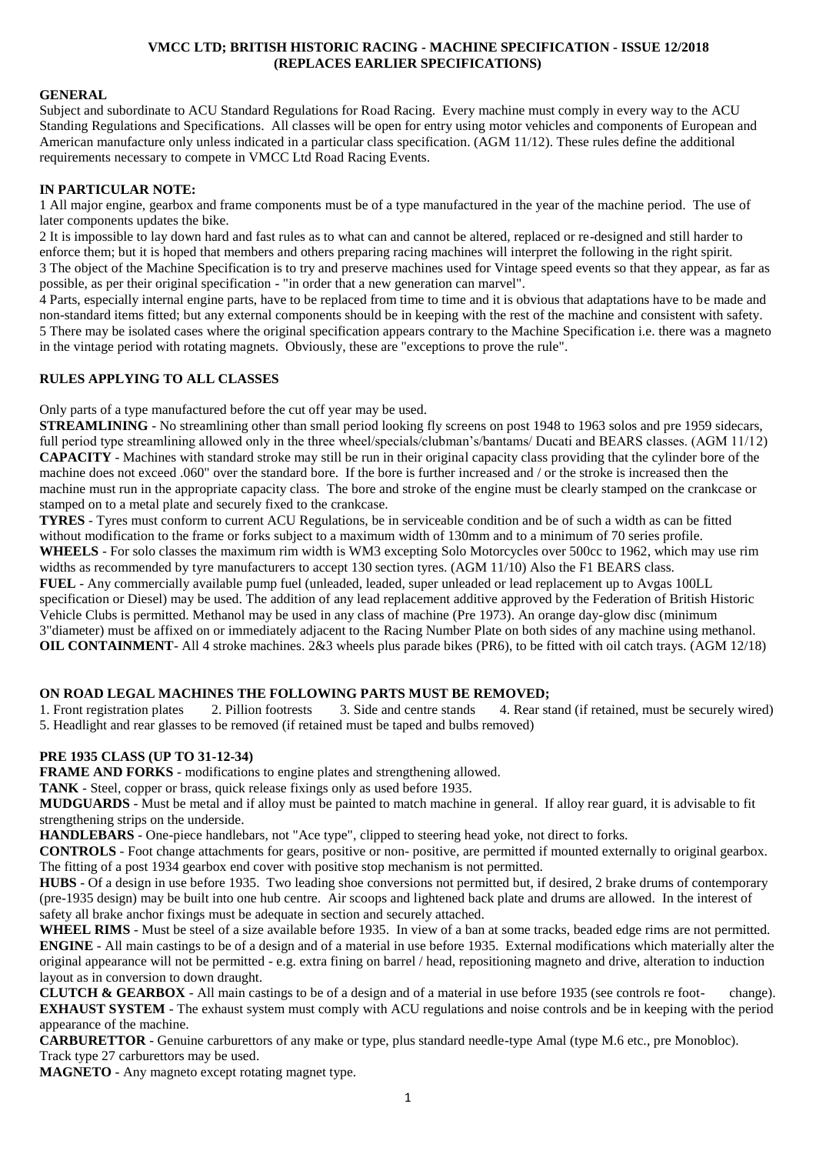#### **VMCC LTD; BRITISH HISTORIC RACING - MACHINE SPECIFICATION - ISSUE 12/2018 (REPLACES EARLIER SPECIFICATIONS)**

#### **GENERAL**

Subject and subordinate to ACU Standard Regulations for Road Racing. Every machine must comply in every way to the ACU Standing Regulations and Specifications. All classes will be open for entry using motor vehicles and components of European and American manufacture only unless indicated in a particular class specification. (AGM 11/12). These rules define the additional requirements necessary to compete in VMCC Ltd Road Racing Events.

#### **IN PARTICULAR NOTE:**

1 All major engine, gearbox and frame components must be of a type manufactured in the year of the machine period. The use of later components updates the bike.

2 It is impossible to lay down hard and fast rules as to what can and cannot be altered, replaced or re-designed and still harder to enforce them; but it is hoped that members and others preparing racing machines will interpret the following in the right spirit. 3 The object of the Machine Specification is to try and preserve machines used for Vintage speed events so that they appear, as far as possible, as per their original specification - "in order that a new generation can marvel".

4 Parts, especially internal engine parts, have to be replaced from time to time and it is obvious that adaptations have to be made and non-standard items fitted; but any external components should be in keeping with the rest of the machine and consistent with safety. 5 There may be isolated cases where the original specification appears contrary to the Machine Specification i.e. there was a magneto in the vintage period with rotating magnets. Obviously, these are "exceptions to prove the rule".

#### **RULES APPLYING TO ALL CLASSES**

Only parts of a type manufactured before the cut off year may be used.

**STREAMLINING** - No streamlining other than small period looking fly screens on post 1948 to 1963 solos and pre 1959 sidecars, full period type streamlining allowed only in the three wheel/specials/clubman's/bantams/ Ducati and BEARS classes. (AGM 11/12) **CAPACITY** - Machines with standard stroke may still be run in their original capacity class providing that the cylinder bore of the machine does not exceed .060" over the standard bore. If the bore is further increased and / or the stroke is increased then the machine must run in the appropriate capacity class. The bore and stroke of the engine must be clearly stamped on the crankcase or stamped on to a metal plate and securely fixed to the crankcase.

**TYRES** - Tyres must conform to current ACU Regulations, be in serviceable condition and be of such a width as can be fitted without modification to the frame or forks subject to a maximum width of 130mm and to a minimum of 70 series profile. **WHEELS** - For solo classes the maximum rim width is WM3 excepting Solo Motorcycles over 500cc to 1962, which may use rim widths as recommended by tyre manufacturers to accept 130 section tyres. (AGM 11/10) Also the F1 BEARS class.

**FUEL** - Any commercially available pump fuel (unleaded, leaded, super unleaded or lead replacement up to Avgas 100LL specification or Diesel) may be used. The addition of any lead replacement additive approved by the Federation of British Historic Vehicle Clubs is permitted. Methanol may be used in any class of machine (Pre 1973). An orange day-glow disc (minimum 3"diameter) must be affixed on or immediately adjacent to the Racing Number Plate on both sides of any machine using methanol. **OIL CONTAINMENT**- All 4 stroke machines. 2&3 wheels plus parade bikes (PR6), to be fitted with oil catch trays. (AGM 12/18)

#### **ON ROAD LEGAL MACHINES THE FOLLOWING PARTS MUST BE REMOVED;**

1. Front registration plates 2. Pillion footrests 3. Side and centre stands 4. Rear stand (if retained, must be securely wired) 5. Headlight and rear glasses to be removed (if retained must be taped and bulbs removed)

### **PRE 1935 CLASS (UP TO 31-12-34)**

**FRAME AND FORKS** - modifications to engine plates and strengthening allowed.

**TANK** - Steel, copper or brass, quick release fixings only as used before 1935.

**MUDGUARDS** - Must be metal and if alloy must be painted to match machine in general. If alloy rear guard, it is advisable to fit strengthening strips on the underside.

**HANDLEBARS** - One-piece handlebars, not "Ace type", clipped to steering head yoke, not direct to forks.

**CONTROLS** - Foot change attachments for gears, positive or non- positive, are permitted if mounted externally to original gearbox. The fitting of a post 1934 gearbox end cover with positive stop mechanism is not permitted.

**HUBS** - Of a design in use before 1935. Two leading shoe conversions not permitted but, if desired, 2 brake drums of contemporary (pre-1935 design) may be built into one hub centre. Air scoops and lightened back plate and drums are allowed. In the interest of safety all brake anchor fixings must be adequate in section and securely attached.

**WHEEL RIMS** - Must be steel of a size available before 1935. In view of a ban at some tracks, beaded edge rims are not permitted. **ENGINE** - All main castings to be of a design and of a material in use before 1935. External modifications which materially alter the original appearance will not be permitted - e.g. extra fining on barrel / head, repositioning magneto and drive, alteration to induction layout as in conversion to down draught.

**CLUTCH & GEARBOX** - All main castings to be of a design and of a material in use before 1935 (see controls re foot- change). **EXHAUST SYSTEM** - The exhaust system must comply with ACU regulations and noise controls and be in keeping with the period appearance of the machine.

**CARBURETTOR** - Genuine carburettors of any make or type, plus standard needle-type Amal (type M.6 etc., pre Monobloc). Track type 27 carburettors may be used.

**MAGNETO** - Any magneto except rotating magnet type.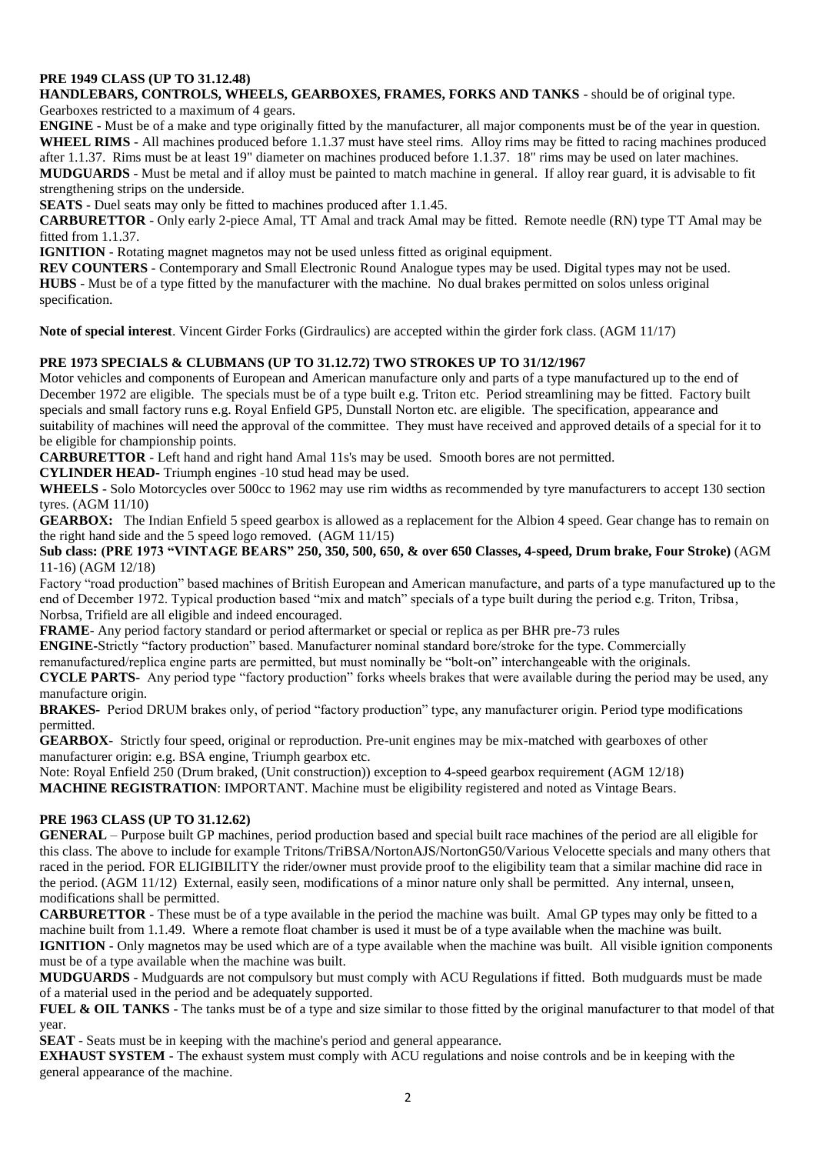# **PRE 1949 CLASS (UP TO 31.12.48)**

**HANDLEBARS, CONTROLS, WHEELS, GEARBOXES, FRAMES, FORKS AND TANKS** - should be of original type.

Gearboxes restricted to a maximum of 4 gears.

**ENGINE** - Must be of a make and type originally fitted by the manufacturer, all major components must be of the year in question. **WHEEL RIMS** - All machines produced before 1.1.37 must have steel rims. Alloy rims may be fitted to racing machines produced after 1.1.37. Rims must be at least 19" diameter on machines produced before 1.1.37. 18" rims may be used on later machines. **MUDGUARDS** - Must be metal and if alloy must be painted to match machine in general. If alloy rear guard, it is advisable to fit strengthening strips on the underside.

**SEATS** - Duel seats may only be fitted to machines produced after 1.1.45.

**CARBURETTOR** - Only early 2-piece Amal, TT Amal and track Amal may be fitted. Remote needle (RN) type TT Amal may be fitted from 1.1.37.

**IGNITION** - Rotating magnet magnetos may not be used unless fitted as original equipment.

**REV COUNTERS** - Contemporary and Small Electronic Round Analogue types may be used. Digital types may not be used. **HUBS** - Must be of a type fitted by the manufacturer with the machine. No dual brakes permitted on solos unless original specification.

**Note of special interest**. Vincent Girder Forks (Girdraulics) are accepted within the girder fork class. (AGM 11/17)

## **PRE 1973 SPECIALS & CLUBMANS (UP TO 31.12.72) TWO STROKES UP TO 31/12/1967**

Motor vehicles and components of European and American manufacture only and parts of a type manufactured up to the end of December 1972 are eligible. The specials must be of a type built e.g. Triton etc. Period streamlining may be fitted. Factory built specials and small factory runs e.g. Royal Enfield GP5, Dunstall Norton etc. are eligible. The specification, appearance and suitability of machines will need the approval of the committee. They must have received and approved details of a special for it to be eligible for championship points.

**CARBURETTOR** - Left hand and right hand Amal 11s's may be used. Smooth bores are not permitted.

**CYLINDER HEAD-** Triumph engines *-*10 stud head may be used.

WHEELS - Solo Motorcycles over 500cc to 1962 may use rim widths as recommended by tyre manufacturers to accept 130 section tyres. (AGM 11/10)

**GEARBOX:** The Indian Enfield 5 speed gearbox is allowed as a replacement for the Albion 4 speed. Gear change has to remain on the right hand side and the 5 speed logo removed. (AGM 11/15)

### **Sub class: (PRE 1973 "VINTAGE BEARS" 250, 350, 500, 650, & over 650 Classes, 4-speed, Drum brake, Four Stroke)** (AGM 11-16) (AGM 12/18)

Factory "road production" based machines of British European and American manufacture, and parts of a type manufactured up to the end of December 1972. Typical production based "mix and match" specials of a type built during the period e.g. Triton, Tribsa, Norbsa, Trifield are all eligible and indeed encouraged.

**FRAME**- Any period factory standard or period aftermarket or special or replica as per BHR pre-73 rules

**ENGINE-**Strictly "factory production" based. Manufacturer nominal standard bore/stroke for the type. Commercially

remanufactured/replica engine parts are permitted, but must nominally be "bolt-on" interchangeable with the originals.

**CYCLE PARTS-** Any period type "factory production" forks wheels brakes that were available during the period may be used, any manufacture origin.

**BRAKES-** Period DRUM brakes only, of period "factory production" type, any manufacturer origin. Period type modifications permitted.

**GEARBOX-** Strictly four speed, original or reproduction. Pre-unit engines may be mix-matched with gearboxes of other manufacturer origin: e.g. BSA engine, Triumph gearbox etc.

Note: Royal Enfield 250 (Drum braked, (Unit construction)) exception to 4-speed gearbox requirement (AGM 12/18) **MACHINE REGISTRATION**: IMPORTANT. Machine must be eligibility registered and noted as Vintage Bears.

## **PRE 1963 CLASS (UP TO 31.12.62)**

**GENERAL** – Purpose built GP machines, period production based and special built race machines of the period are all eligible for this class. The above to include for example Tritons/TriBSA/NortonAJS/NortonG50/Various Velocette specials and many others that raced in the period. FOR ELIGIBILITY the rider/owner must provide proof to the eligibility team that a similar machine did race in the period. (AGM 11/12) External, easily seen, modifications of a minor nature only shall be permitted. Any internal, unseen, modifications shall be permitted.

**CARBURETTOR** - These must be of a type available in the period the machine was built. Amal GP types may only be fitted to a machine built from 1.1.49. Where a remote float chamber is used it must be of a type available when the machine was built. **IGNITION** - Only magnetos may be used which are of a type available when the machine was built. All visible ignition components

must be of a type available when the machine was built.

**MUDGUARDS** - Mudguards are not compulsory but must comply with ACU Regulations if fitted. Both mudguards must be made of a material used in the period and be adequately supported.

**FUEL & OIL TANKS** - The tanks must be of a type and size similar to those fitted by the original manufacturer to that model of that year.

**SEAT** - Seats must be in keeping with the machine's period and general appearance.

**EXHAUST SYSTEM** - The exhaust system must comply with ACU regulations and noise controls and be in keeping with the general appearance of the machine.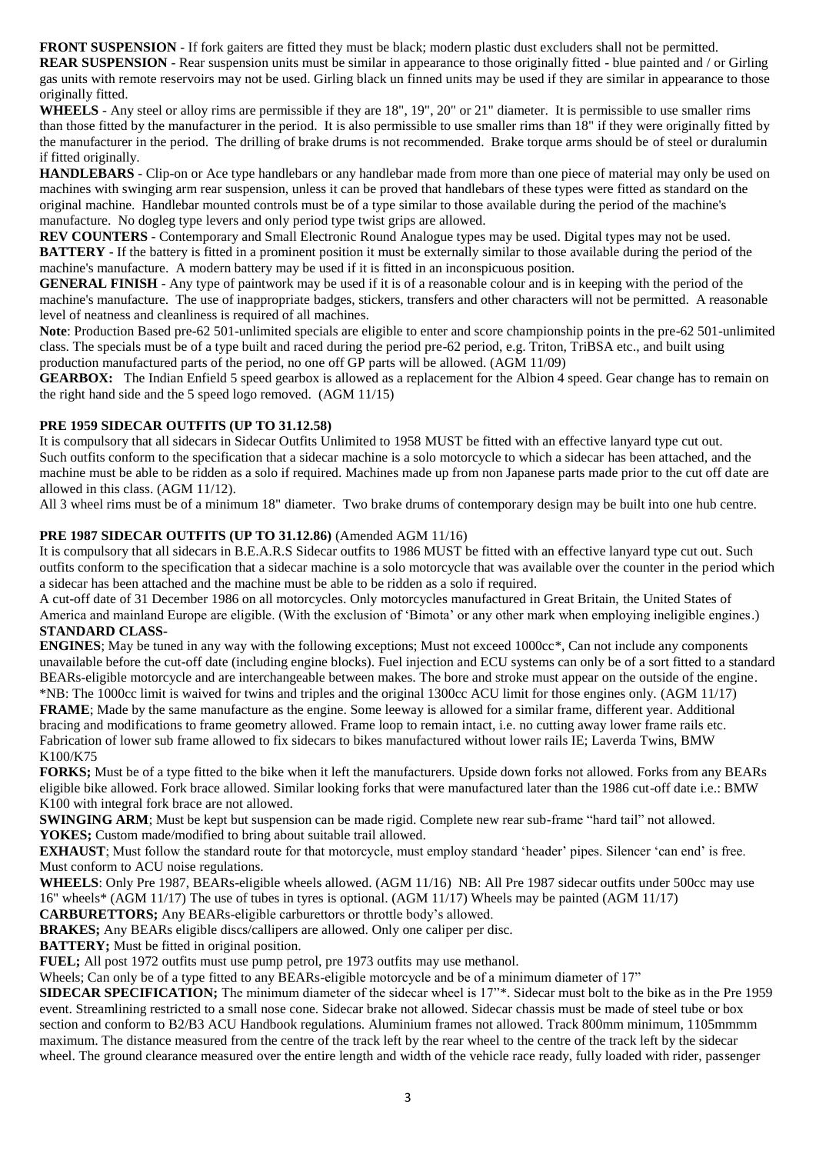**FRONT SUSPENSION** - If fork gaiters are fitted they must be black; modern plastic dust excluders shall not be permitted.

**REAR SUSPENSION** - Rear suspension units must be similar in appearance to those originally fitted - blue painted and / or Girling gas units with remote reservoirs may not be used. Girling black un finned units may be used if they are similar in appearance to those originally fitted.

**WHEELS** - Any steel or alloy rims are permissible if they are 18", 19", 20" or 21" diameter. It is permissible to use smaller rims than those fitted by the manufacturer in the period. It is also permissible to use smaller rims than 18" if they were originally fitted by the manufacturer in the period. The drilling of brake drums is not recommended. Brake torque arms should be of steel or duralumin if fitted originally.

**HANDLEBARS** - Clip-on or Ace type handlebars or any handlebar made from more than one piece of material may only be used on machines with swinging arm rear suspension, unless it can be proved that handlebars of these types were fitted as standard on the original machine. Handlebar mounted controls must be of a type similar to those available during the period of the machine's manufacture. No dogleg type levers and only period type twist grips are allowed.

**REV COUNTERS** - Contemporary and Small Electronic Round Analogue types may be used. Digital types may not be used. **BATTERY** - If the battery is fitted in a prominent position it must be externally similar to those available during the period of the machine's manufacture. A modern battery may be used if it is fitted in an inconspicuous position.

**GENERAL FINISH** - Any type of paintwork may be used if it is of a reasonable colour and is in keeping with the period of the machine's manufacture. The use of inappropriate badges, stickers, transfers and other characters will not be permitted. A reasonable level of neatness and cleanliness is required of all machines.

**Note**: Production Based pre-62 501-unlimited specials are eligible to enter and score championship points in the pre-62 501-unlimited class. The specials must be of a type built and raced during the period pre-62 period, e.g. Triton, TriBSA etc., and built using production manufactured parts of the period, no one off GP parts will be allowed. (AGM 11/09)

**GEARBOX:** The Indian Enfield 5 speed gearbox is allowed as a replacement for the Albion 4 speed. Gear change has to remain on the right hand side and the 5 speed logo removed. (AGM 11/15)

## **PRE 1959 SIDECAR OUTFITS (UP TO 31.12.58)**

It is compulsory that all sidecars in Sidecar Outfits Unlimited to 1958 MUST be fitted with an effective lanyard type cut out. Such outfits conform to the specification that a sidecar machine is a solo motorcycle to which a sidecar has been attached, and the machine must be able to be ridden as a solo if required. Machines made up from non Japanese parts made prior to the cut off date are allowed in this class. (AGM 11/12).

All 3 wheel rims must be of a minimum 18" diameter. Two brake drums of contemporary design may be built into one hub centre.

## **PRE 1987 SIDECAR OUTFITS (UP TO 31.12.86)** (Amended AGM 11/16)

It is compulsory that all sidecars in B.E.A.R.S Sidecar outfits to 1986 MUST be fitted with an effective lanyard type cut out. Such outfits conform to the specification that a sidecar machine is a solo motorcycle that was available over the counter in the period which a sidecar has been attached and the machine must be able to be ridden as a solo if required.

A cut-off date of 31 December 1986 on all motorcycles. Only motorcycles manufactured in Great Britain, the United States of America and mainland Europe are eligible. (With the exclusion of 'Bimota' or any other mark when employing ineligible engines.) **STANDARD CLASS-**

**ENGINES**; May be tuned in any way with the following exceptions; Must not exceed 1000cc\*, Can not include any components unavailable before the cut-off date (including engine blocks). Fuel injection and ECU systems can only be of a sort fitted to a standard BEARs-eligible motorcycle and are interchangeable between makes. The bore and stroke must appear on the outside of the engine. \*NB: The 1000cc limit is waived for twins and triples and the original 1300cc ACU limit for those engines only. (AGM 11/17)

**FRAME**; Made by the same manufacture as the engine. Some leeway is allowed for a similar frame, different year. Additional bracing and modifications to frame geometry allowed. Frame loop to remain intact, i.e. no cutting away lower frame rails etc. Fabrication of lower sub frame allowed to fix sidecars to bikes manufactured without lower rails IE; Laverda Twins, BMW K100/K75

**FORKS;** Must be of a type fitted to the bike when it left the manufacturers. Upside down forks not allowed. Forks from any BEARs eligible bike allowed. Fork brace allowed. Similar looking forks that were manufactured later than the 1986 cut-off date i.e.: BMW K100 with integral fork brace are not allowed.

**SWINGING ARM**; Must be kept but suspension can be made rigid. Complete new rear sub-frame "hard tail" not allowed. **YOKES;** Custom made/modified to bring about suitable trail allowed.

**EXHAUST**; Must follow the standard route for that motorcycle, must employ standard 'header' pipes. Silencer 'can end' is free. Must conform to ACU noise regulations.

**WHEELS**: Only Pre 1987, BEARs-eligible wheels allowed. (AGM 11/16) NB: All Pre 1987 sidecar outfits under 500cc may use 16" wheels\* (AGM 11/17) The use of tubes in tyres is optional. (AGM 11/17) Wheels may be painted (AGM 11/17)

**CARBURETTORS;** Any BEARs-eligible carburettors or throttle body's allowed.

**BRAKES;** Any BEARs eligible discs/callipers are allowed. Only one caliper per disc.

**BATTERY;** Must be fitted in original position.

**FUEL;** All post 1972 outfits must use pump petrol, pre 1973 outfits may use methanol.

Wheels; Can only be of a type fitted to any BEARs-eligible motorcycle and be of a minimum diameter of 17"

**SIDECAR SPECIFICATION;** The minimum diameter of the sidecar wheel is 17"\*. Sidecar must bolt to the bike as in the Pre 1959 event. Streamlining restricted to a small nose cone. Sidecar brake not allowed. Sidecar chassis must be made of steel tube or box section and conform to B2/B3 ACU Handbook regulations. Aluminium frames not allowed. Track 800mm minimum, 1105mmmm maximum. The distance measured from the centre of the track left by the rear wheel to the centre of the track left by the sidecar wheel. The ground clearance measured over the entire length and width of the vehicle race ready, fully loaded with rider, passenger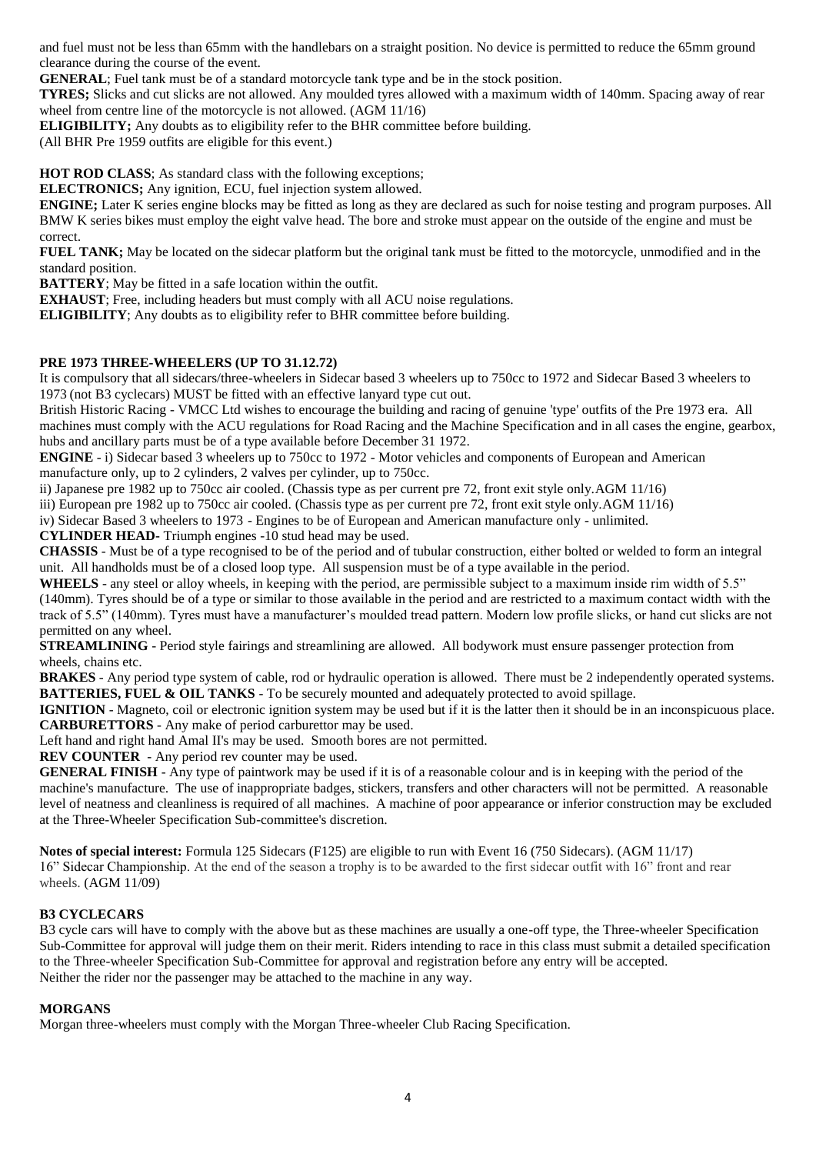and fuel must not be less than 65mm with the handlebars on a straight position. No device is permitted to reduce the 65mm ground clearance during the course of the event.

**GENERAL**; Fuel tank must be of a standard motorcycle tank type and be in the stock position.

**TYRES;** Slicks and cut slicks are not allowed. Any moulded tyres allowed with a maximum width of 140mm. Spacing away of rear wheel from centre line of the motorcycle is not allowed. (AGM 11/16)

**ELIGIBILITY;** Any doubts as to eligibility refer to the BHR committee before building.

(All BHR Pre 1959 outfits are eligible for this event.)

**HOT ROD CLASS**; As standard class with the following exceptions;

**ELECTRONICS;** Any ignition, ECU, fuel injection system allowed.

**ENGINE;** Later K series engine blocks may be fitted as long as they are declared as such for noise testing and program purposes. All BMW K series bikes must employ the eight valve head. The bore and stroke must appear on the outside of the engine and must be correct.

**FUEL TANK;** May be located on the sidecar platform but the original tank must be fitted to the motorcycle, unmodified and in the standard position.

**BATTERY**; May be fitted in a safe location within the outfit.

**EXHAUST**; Free, including headers but must comply with all ACU noise regulations.

**ELIGIBILITY**; Any doubts as to eligibility refer to BHR committee before building.

# **PRE 1973 THREE-WHEELERS (UP TO 31.12.72)**

It is compulsory that all sidecars/three-wheelers in Sidecar based 3 wheelers up to 750cc to 1972 and Sidecar Based 3 wheelers to 1973 (not B3 cyclecars) MUST be fitted with an effective lanyard type cut out.

British Historic Racing - VMCC Ltd wishes to encourage the building and racing of genuine 'type' outfits of the Pre 1973 era. All machines must comply with the ACU regulations for Road Racing and the Machine Specification and in all cases the engine, gearbox, hubs and ancillary parts must be of a type available before December 31 1972.

**ENGINE** - i) Sidecar based 3 wheelers up to 750cc to 1972 - Motor vehicles and components of European and American manufacture only, up to 2 cylinders, 2 valves per cylinder, up to 750cc.

ii) Japanese pre 1982 up to 750cc air cooled. (Chassis type as per current pre 72, front exit style only.AGM 11/16)

iii) European pre 1982 up to 750cc air cooled. (Chassis type as per current pre 72, front exit style only.AGM 11/16)

iv) Sidecar Based 3 wheelers to 1973 - Engines to be of European and American manufacture only - unlimited.

**CYLINDER HEAD-** Triumph engines -10 stud head may be used.

**CHASSIS** - Must be of a type recognised to be of the period and of tubular construction, either bolted or welded to form an integral unit. All handholds must be of a closed loop type. All suspension must be of a type available in the period.

WHEELS - any steel or alloy wheels, in keeping with the period, are permissible subject to a maximum inside rim width of 5.5" (140mm). Tyres should be of a type or similar to those available in the period and are restricted to a maximum contact width with the track of 5.5" (140mm). Tyres must have a manufacturer's moulded tread pattern. Modern low profile slicks, or hand cut slicks are not

permitted on any wheel. **STREAMLINING** - Period style fairings and streamlining are allowed. All bodywork must ensure passenger protection from wheels, chains etc.

**BRAKES** - Any period type system of cable, rod or hydraulic operation is allowed. There must be 2 independently operated systems. **BATTERIES, FUEL & OIL TANKS** - To be securely mounted and adequately protected to avoid spillage.

**IGNITION** - Magneto, coil or electronic ignition system may be used but if it is the latter then it should be in an inconspicuous place. **CARBURETTORS** - Any make of period carburettor may be used.

Left hand and right hand Amal II's may be used. Smooth bores are not permitted.

**REV COUNTER** - Any period rev counter may be used.

**GENERAL FINISH** - Any type of paintwork may be used if it is of a reasonable colour and is in keeping with the period of the machine's manufacture. The use of inappropriate badges, stickers, transfers and other characters will not be permitted. A reasonable level of neatness and cleanliness is required of all machines. A machine of poor appearance or inferior construction may be excluded at the Three-Wheeler Specification Sub-committee's discretion.

**Notes of special interest:** Formula 125 Sidecars (F125) are eligible to run with Event 16 (750 Sidecars). (AGM 11/17) 16" Sidecar Championship. At the end of the season a trophy is to be awarded to the first sidecar outfit with 16" front and rear wheels. (AGM 11/09)

# **B3 CYCLECARS**

B3 cycle cars will have to comply with the above but as these machines are usually a one-off type, the Three-wheeler Specification Sub-Committee for approval will judge them on their merit. Riders intending to race in this class must submit a detailed specification to the Three-wheeler Specification Sub-Committee for approval and registration before any entry will be accepted. Neither the rider nor the passenger may be attached to the machine in any way.

## **MORGANS**

Morgan three-wheelers must comply with the Morgan Three-wheeler Club Racing Specification.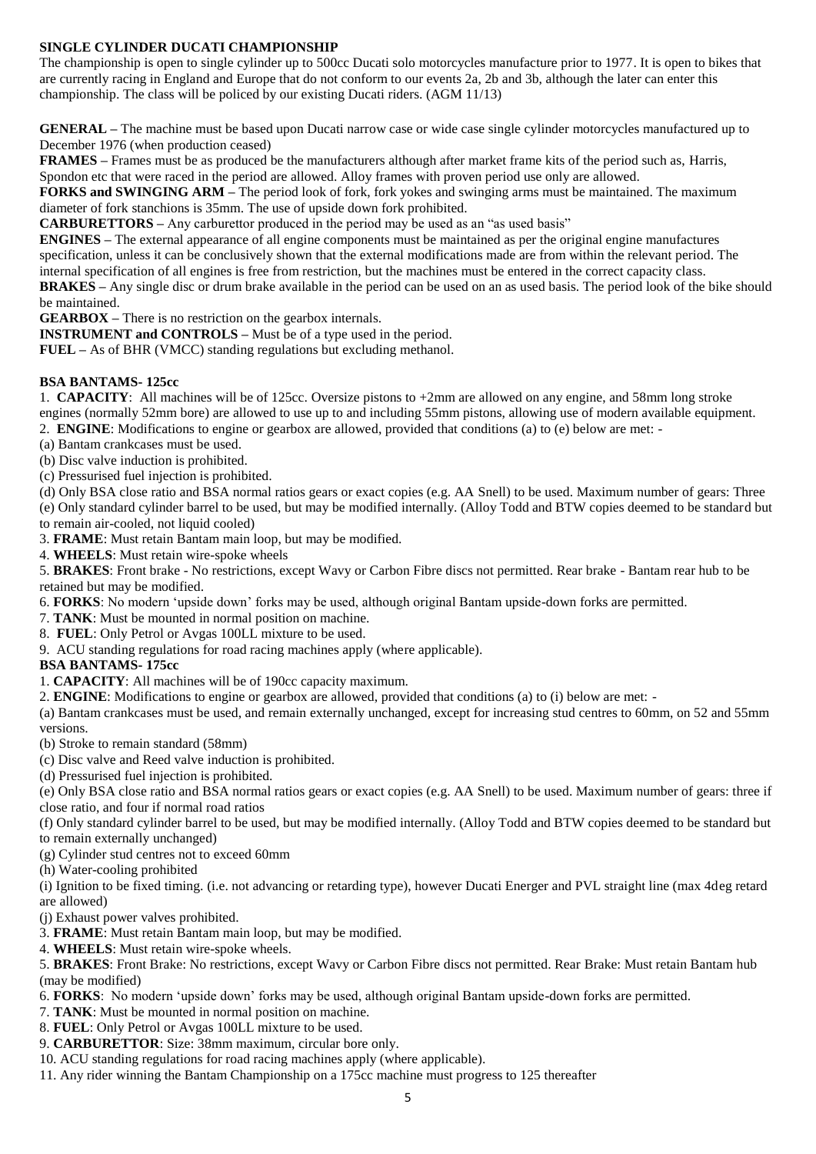## **SINGLE CYLINDER DUCATI CHAMPIONSHIP**

The championship is open to single cylinder up to 500cc Ducati solo motorcycles manufacture prior to 1977. It is open to bikes that are currently racing in England and Europe that do not conform to our events 2a, 2b and 3b, although the later can enter this championship. The class will be policed by our existing Ducati riders. (AGM 11/13)

**GENERAL –** The machine must be based upon Ducati narrow case or wide case single cylinder motorcycles manufactured up to December 1976 (when production ceased)

**FRAMES –** Frames must be as produced be the manufacturers although after market frame kits of the period such as, Harris, Spondon etc that were raced in the period are allowed. Alloy frames with proven period use only are allowed.

**FORKS and SWINGING ARM** – The period look of fork, fork vokes and swinging arms must be maintained. The maximum diameter of fork stanchions is 35mm. The use of upside down fork prohibited.

**CARBURETTORS –** Any carburettor produced in the period may be used as an "as used basis"

**ENGINES –** The external appearance of all engine components must be maintained as per the original engine manufactures specification, unless it can be conclusively shown that the external modifications made are from within the relevant period. The internal specification of all engines is free from restriction, but the machines must be entered in the correct capacity class. **BRAKES –** Any single disc or drum brake available in the period can be used on an as used basis. The period look of the bike should

be maintained. **GEARBOX –** There is no restriction on the gearbox internals.

**INSTRUMENT and CONTROLS –** Must be of a type used in the period.

**FUEL –** As of BHR (VMCC) standing regulations but excluding methanol.

## **BSA BANTAMS- 125cc**

1. **CAPACITY**: All machines will be of 125cc. Oversize pistons to +2mm are allowed on any engine, and 58mm long stroke engines (normally 52mm bore) are allowed to use up to and including 55mm pistons, allowing use of modern available equipment. 2. **ENGINE**: Modifications to engine or gearbox are allowed, provided that conditions (a) to (e) below are met: -

(a) Bantam crankcases must be used.

(b) Disc valve induction is prohibited.

(c) Pressurised fuel injection is prohibited.

(d) Only BSA close ratio and BSA normal ratios gears or exact copies (e.g. AA Snell) to be used. Maximum number of gears: Three (e) Only standard cylinder barrel to be used, but may be modified internally. (Alloy Todd and BTW copies deemed to be standard but to remain air-cooled, not liquid cooled)

3. **FRAME**: Must retain Bantam main loop, but may be modified.

4. **WHEELS**: Must retain wire-spoke wheels

5. **BRAKES**: Front brake - No restrictions, except Wavy or Carbon Fibre discs not permitted. Rear brake - Bantam rear hub to be retained but may be modified.

6. **FORKS**: No modern 'upside down' forks may be used, although original Bantam upside-down forks are permitted.

7. **TANK**: Must be mounted in normal position on machine.

8. **FUEL**: Only Petrol or Avgas 100LL mixture to be used.

9. ACU standing regulations for road racing machines apply (where applicable).

## **BSA BANTAMS- 175cc**

1. **CAPACITY**: All machines will be of 190cc capacity maximum.

2. **ENGINE**: Modifications to engine or gearbox are allowed, provided that conditions (a) to (i) below are met: -

(a) Bantam crankcases must be used, and remain externally unchanged, except for increasing stud centres to 60mm, on 52 and 55mm versions.

(b) Stroke to remain standard (58mm)

(c) Disc valve and Reed valve induction is prohibited.

(d) Pressurised fuel injection is prohibited.

(e) Only BSA close ratio and BSA normal ratios gears or exact copies (e.g. AA Snell) to be used. Maximum number of gears: three if close ratio, and four if normal road ratios

(f) Only standard cylinder barrel to be used, but may be modified internally. (Alloy Todd and BTW copies deemed to be standard but to remain externally unchanged)

(g) Cylinder stud centres not to exceed 60mm

(h) Water-cooling prohibited

(i) Ignition to be fixed timing. (i.e. not advancing or retarding type), however Ducati Energer and PVL straight line (max 4deg retard are allowed)

(j) Exhaust power valves prohibited.

3. **FRAME**: Must retain Bantam main loop, but may be modified.

4. **WHEELS**: Must retain wire-spoke wheels.

5. **BRAKES**: Front Brake: No restrictions, except Wavy or Carbon Fibre discs not permitted. Rear Brake: Must retain Bantam hub (may be modified)

6. **FORKS**: No modern 'upside down' forks may be used, although original Bantam upside-down forks are permitted.

7. **TANK**: Must be mounted in normal position on machine.

8. **FUEL**: Only Petrol or Avgas 100LL mixture to be used.

9. **CARBURETTOR**: Size: 38mm maximum, circular bore only.

10. ACU standing regulations for road racing machines apply (where applicable).

11. Any rider winning the Bantam Championship on a 175cc machine must progress to 125 thereafter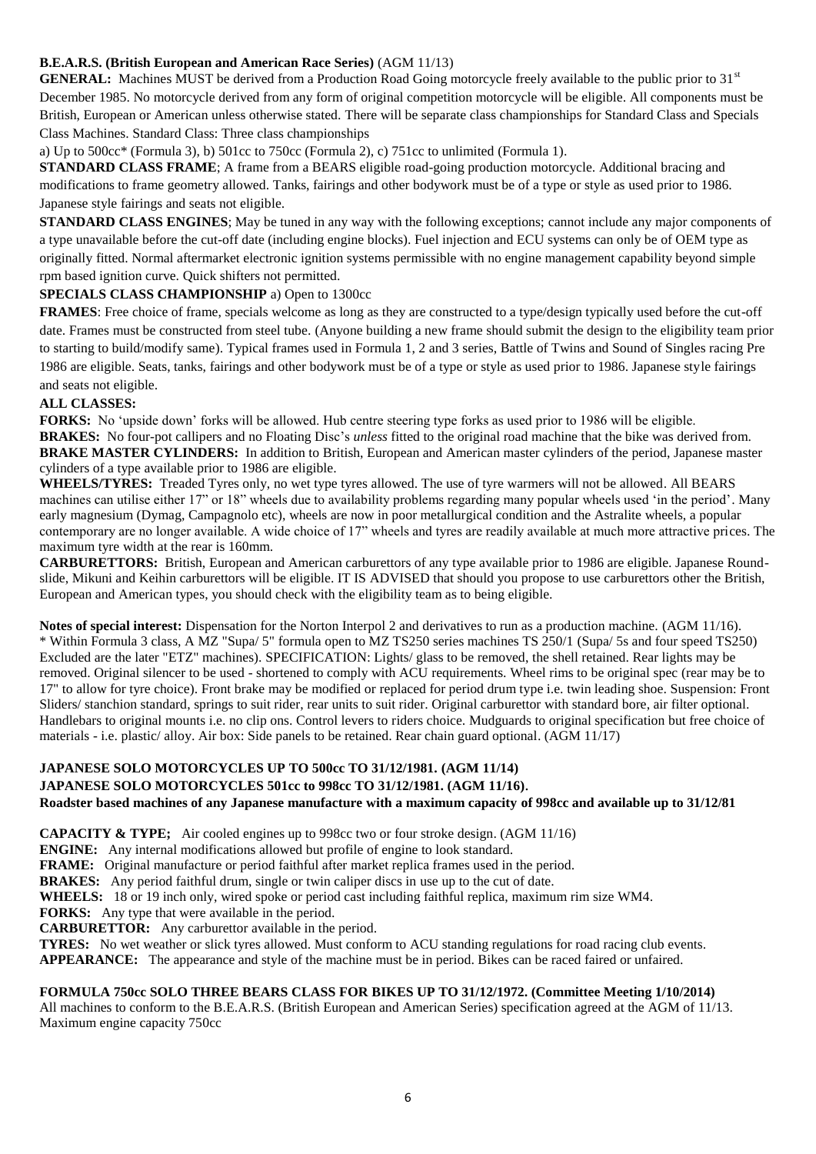## **B.E.A.R.S. (British European and American Race Series)** (AGM 11/13)

**GENERAL:** Machines MUST be derived from a Production Road Going motorcycle freely available to the public prior to 31<sup>st</sup> December 1985. No motorcycle derived from any form of original competition motorcycle will be eligible. All components must be British, European or American unless otherwise stated. There will be separate class championships for Standard Class and Specials Class Machines. Standard Class: Three class championships

a) Up to 500cc\* (Formula 3), b) 501cc to 750cc (Formula 2), c) 751cc to unlimited (Formula 1).

**STANDARD CLASS FRAME**; A frame from a BEARS eligible road-going production motorcycle. Additional bracing and modifications to frame geometry allowed. Tanks, fairings and other bodywork must be of a type or style as used prior to 1986. Japanese style fairings and seats not eligible.

**STANDARD CLASS ENGINES**; May be tuned in any way with the following exceptions; cannot include any major components of a type unavailable before the cut-off date (including engine blocks). Fuel injection and ECU systems can only be of OEM type as originally fitted. Normal aftermarket electronic ignition systems permissible with no engine management capability beyond simple rpm based ignition curve. Quick shifters not permitted.

## **SPECIALS CLASS CHAMPIONSHIP** a) Open to 1300cc

**FRAMES**: Free choice of frame, specials welcome as long as they are constructed to a type/design typically used before the cut-off date. Frames must be constructed from steel tube. (Anyone building a new frame should submit the design to the eligibility team prior to starting to build/modify same). Typical frames used in Formula 1, 2 and 3 series, Battle of Twins and Sound of Singles racing Pre 1986 are eligible. Seats, tanks, fairings and other bodywork must be of a type or style as used prior to 1986. Japanese style fairings and seats not eligible.

#### **ALL CLASSES:**

**FORKS:** No 'upside down' forks will be allowed. Hub centre steering type forks as used prior to 1986 will be eligible. **BRAKES:** No four-pot callipers and no Floating Disc's *unless* fitted to the original road machine that the bike was derived from. **BRAKE MASTER CYLINDERS:** In addition to British, European and American master cylinders of the period, Japanese master cylinders of a type available prior to 1986 are eligible.

**WHEELS/TYRES:** Treaded Tyres only, no wet type tyres allowed. The use of tyre warmers will not be allowed. All BEARS machines can utilise either 17" or 18" wheels due to availability problems regarding many popular wheels used 'in the period'. Many early magnesium (Dymag, Campagnolo etc), wheels are now in poor metallurgical condition and the Astralite wheels, a popular contemporary are no longer available. A wide choice of 17" wheels and tyres are readily available at much more attractive prices. The maximum tyre width at the rear is 160mm.

**CARBURETTORS:** British, European and American carburettors of any type available prior to 1986 are eligible. Japanese Roundslide, Mikuni and Keihin carburettors will be eligible. IT IS ADVISED that should you propose to use carburettors other the British, European and American types, you should check with the eligibility team as to being eligible.

**Notes of special interest:** Dispensation for the Norton Interpol 2 and derivatives to run as a production machine. (AGM 11/16). \* Within Formula 3 class, A MZ "Supa/ 5" formula open to MZ TS250 series machines TS 250/1 (Supa/ 5s and four speed TS250) Excluded are the later "ETZ" machines). SPECIFICATION: Lights/ glass to be removed, the shell retained. Rear lights may be removed. Original silencer to be used - shortened to comply with ACU requirements. Wheel rims to be original spec (rear may be to 17" to allow for tyre choice). Front brake may be modified or replaced for period drum type i.e. twin leading shoe. Suspension: Front Sliders/ stanchion standard, springs to suit rider, rear units to suit rider. Original carburettor with standard bore, air filter optional. Handlebars to original mounts i.e. no clip ons. Control levers to riders choice. Mudguards to original specification but free choice of materials - i.e. plastic/ alloy. Air box: Side panels to be retained. Rear chain guard optional. (AGM 11/17)

## **JAPANESE SOLO MOTORCYCLES UP TO 500cc TO 31/12/1981. (AGM 11/14)**

#### **JAPANESE SOLO MOTORCYCLES 501cc to 998cc TO 31/12/1981. (AGM 11/16)**.

**Roadster based machines of any Japanese manufacture with a maximum capacity of 998cc and available up to 31/12/81**

**CAPACITY & TYPE;** Air cooled engines up to 998cc two or four stroke design. (AGM 11/16)

**ENGINE:** Any internal modifications allowed but profile of engine to look standard.

**FRAME:** Original manufacture or period faithful after market replica frames used in the period.

**BRAKES:** Any period faithful drum, single or twin caliper discs in use up to the cut of date.

**WHEELS:** 18 or 19 inch only, wired spoke or period cast including faithful replica, maximum rim size WM4.

**FORKS:** Any type that were available in the period.

**CARBURETTOR:** Any carburettor available in the period.

**TYRES:** No wet weather or slick tyres allowed. Must conform to ACU standing regulations for road racing club events.

**APPEARANCE:** The appearance and style of the machine must be in period. Bikes can be raced faired or unfaired.

#### **FORMULA 750cc SOLO THREE BEARS CLASS FOR BIKES UP TO 31/12/1972. (Committee Meeting 1/10/2014)**

All machines to conform to the B.E.A.R.S. (British European and American Series) specification agreed at the AGM of 11/13. Maximum engine capacity 750cc